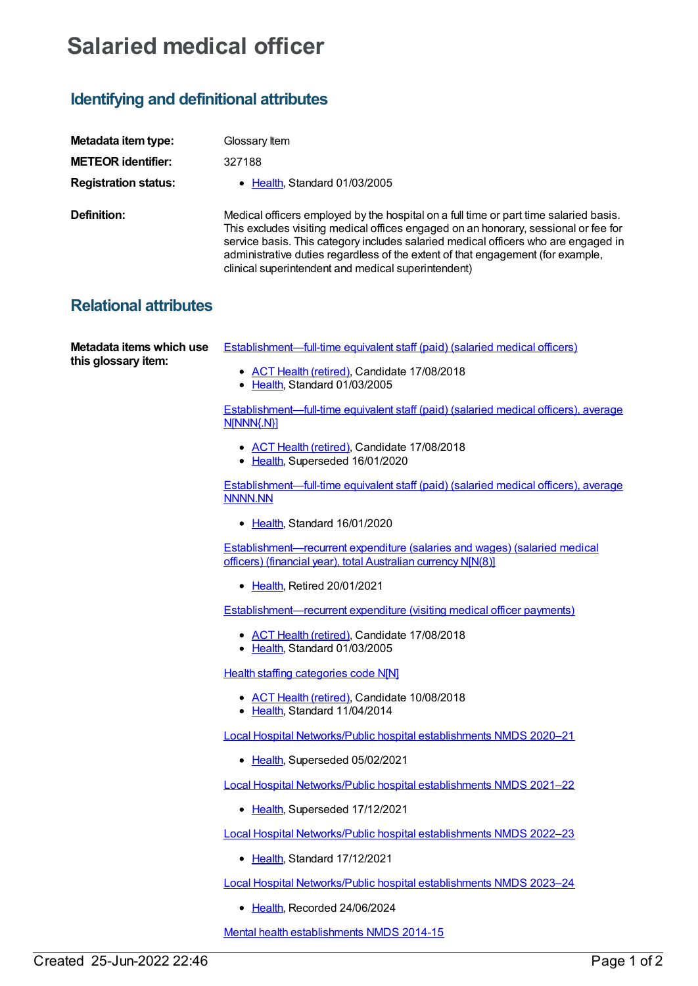## **Salaried medical officer**

## **Identifying and definitional attributes**

| Metadata item type:         | Glossary Item                                                                                                                                                                                                                                                                                                                                                                                                |
|-----------------------------|--------------------------------------------------------------------------------------------------------------------------------------------------------------------------------------------------------------------------------------------------------------------------------------------------------------------------------------------------------------------------------------------------------------|
| <b>METEOR identifier:</b>   | 327188                                                                                                                                                                                                                                                                                                                                                                                                       |
| <b>Registration status:</b> | • Health, Standard 01/03/2005                                                                                                                                                                                                                                                                                                                                                                                |
| Definition:                 | Medical officers employed by the hospital on a full time or part time salaried basis.<br>This excludes visiting medical offices engaged on an honorary, sessional or fee for<br>service basis. This category includes salaried medical officers who are engaged in<br>administrative duties regardless of the extent of that engagement (for example,<br>clinical superintendent and medical superintendent) |

## **Relational attributes**

**Metadata items which use this glossary item:**

[Establishment—full-time](https://meteor.aihw.gov.au/content/269637) equivalent staff (paid) (salaried medical officers)

- ACT Health [\(retired\)](https://meteor.aihw.gov.au/RegistrationAuthority/9), Candidate 17/08/2018
- [Health](https://meteor.aihw.gov.au/RegistrationAuthority/12), Standard 01/03/2005

[Establishment—full-time](https://meteor.aihw.gov.au/content/270494) equivalent staff (paid) (salaried medical officers), average N[NNN{.N}]

- ACT Health [\(retired\)](https://meteor.aihw.gov.au/RegistrationAuthority/9), Candidate 17/08/2018
- [Health](https://meteor.aihw.gov.au/RegistrationAuthority/12), Superseded 16/01/2020

[Establishment—full-time](https://meteor.aihw.gov.au/content/722535) equivalent staff (paid) (salaried medical officers), average NNNN.NN

• [Health](https://meteor.aihw.gov.au/RegistrationAuthority/12), Standard 16/01/2020

[Establishment—recurrent](https://meteor.aihw.gov.au/content/270265) expenditure (salaries and wages) (salaried medical officers) (financial year), total Australian currency N[N(8)]

• [Health](https://meteor.aihw.gov.au/RegistrationAuthority/12), Retired 20/01/2021

[Establishment—recurrent](https://meteor.aihw.gov.au/content/269520) expenditure (visiting medical officer payments)

- ACT Health [\(retired\)](https://meteor.aihw.gov.au/RegistrationAuthority/9), Candidate 17/08/2018
- [Health](https://meteor.aihw.gov.au/RegistrationAuthority/12), Standard 01/03/2005

Health staffing [categories](https://meteor.aihw.gov.au/content/541989) code N[N]

- ACT Health [\(retired\)](https://meteor.aihw.gov.au/RegistrationAuthority/9), Candidate 10/08/2018
- [Health](https://meteor.aihw.gov.au/RegistrationAuthority/12), Standard 11/04/2014

Local Hospital [Networks/Public](https://meteor.aihw.gov.au/content/713848) hospital establishments NMDS 2020–21

• [Health](https://meteor.aihw.gov.au/RegistrationAuthority/12), Superseded 05/02/2021

Local Hospital [Networks/Public](https://meteor.aihw.gov.au/content/727356) hospital establishments NMDS 2021–22

• [Health](https://meteor.aihw.gov.au/RegistrationAuthority/12), Superseded 17/12/2021

Local Hospital [Networks/Public](https://meteor.aihw.gov.au/content/742044) hospital establishments NMDS 2022–23

• [Health](https://meteor.aihw.gov.au/RegistrationAuthority/12), Standard 17/12/2021

Local Hospital [Networks/Public](https://meteor.aihw.gov.au/content/756101) hospital establishments NMDS 2023–24

• [Health](https://meteor.aihw.gov.au/RegistrationAuthority/12), Recorded 24/06/2024

Mental health [establishments](https://meteor.aihw.gov.au/content/546889) NMDS 2014-15